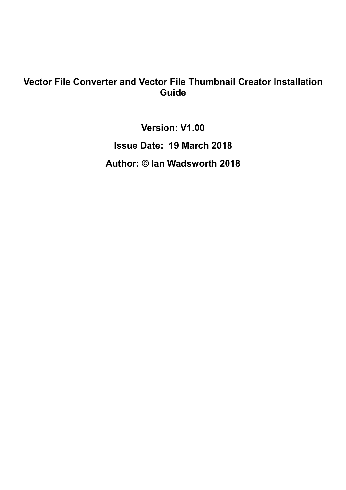### **Vector File Converter and Vector File Thumbnail Creator Installation Guide**

**Version: V1.00** 

**Issue Date: 19 March 2018** 

**Author: © Ian Wadsworth 2018**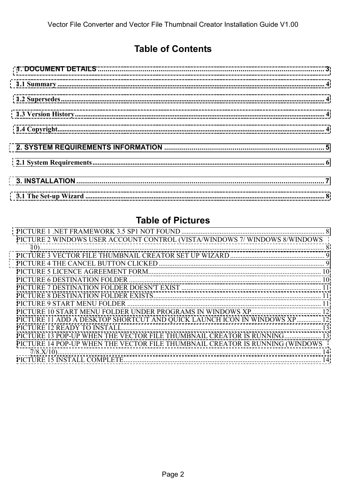### **Table of Contents**

### **Table of Pictures**

| PICTURE 2 WINDOWS USER ACCOUNT CONTROL (VISTA/WINDOWS 7/ WINDOWS 8/WINDOWS   |  |
|------------------------------------------------------------------------------|--|
|                                                                              |  |
|                                                                              |  |
|                                                                              |  |
|                                                                              |  |
|                                                                              |  |
|                                                                              |  |
|                                                                              |  |
|                                                                              |  |
|                                                                              |  |
| PICTURE 11 ADD A DESKTOP SHORTCUT AND QUICK LAUNCH ICON IN WINDOWS XP 12     |  |
|                                                                              |  |
| PICTURE 13 POP-UP WHEN THE VECTOR FILE THUMBNAIL CREATOR IS RUNNING 13       |  |
| PICTURE 14 POP-UP WHEN THE VECTOR FILE THUMBNAIL CREATOR IS RUNNING (WINDOWS |  |
|                                                                              |  |
|                                                                              |  |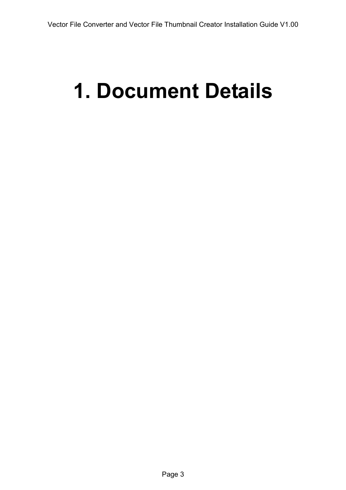# <span id="page-2-0"></span>**1. Document Details**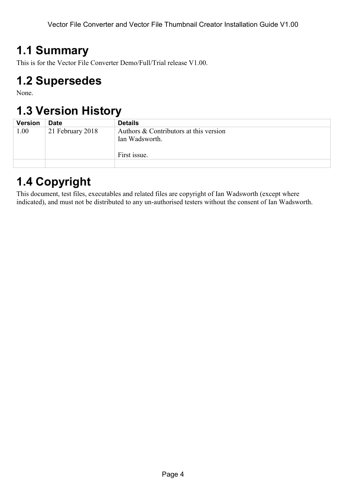## <span id="page-3-0"></span>**1.1 Summary**

This is for the Vector File Converter Demo/Full/Trial release V1.00.

## **1.2 Supersedes**

None.

## **1.3 Version History**

| <b>Version</b> | <b>Date</b>      | <b>Details</b>                         |
|----------------|------------------|----------------------------------------|
| $1.00\,$       | 21 February 2018 | Authors & Contributors at this version |
|                |                  | Ian Wadsworth.                         |
|                |                  | First issue.                           |
|                |                  |                                        |

# **1.4 Copyright**

This document, test files, executables and related files are copyright of Ian Wadsworth (except where indicated), and must not be distributed to any un-authorised testers without the consent of Ian Wadsworth.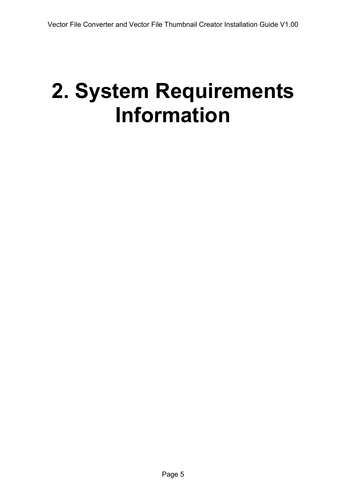# <span id="page-4-0"></span>**2. System Requirements Information**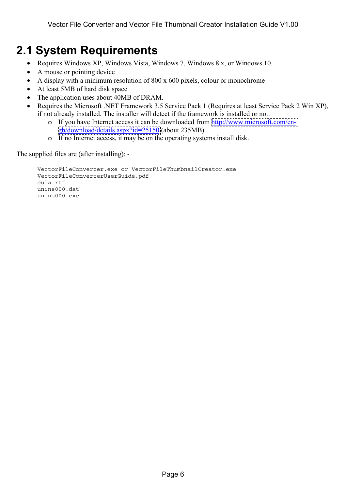## <span id="page-5-0"></span>**2.1 System Requirements**

- Requires Windows XP, Windows Vista, Windows 7, Windows 8.x, or Windows 10.
- A mouse or pointing device
- A display with a minimum resolution of 800 x 600 pixels, colour or monochrome
- At least 5MB of hard disk space
- The application uses about 40MB of DRAM.
- Requires the Microsoft .NET Framework 3.5 Service Pack 1 (Requires at least Service Pack 2 Win XP), if not already installed. The installer will detect if the framework is installed or not.
	- o If you have Internet access it can be downloaded from [http://www.microsoft.com/en](http://www.microsoft.com/en-gb/download/details.aspx?id=25150)[gb/download/details.aspx?id=25150](http://www.microsoft.com/en-gb/download/details.aspx?id=25150) (about 235MB)
	- o If no Internet access, it may be on the operating systems install disk.

The supplied files are (after installing): -

```
 VectorFileConverter.exe or VectorFileThumbnailCreator.exe 
VectorFileConverterUserGuide.pdf 
eula.rtf 
unins000.dat 
unins000.exe
```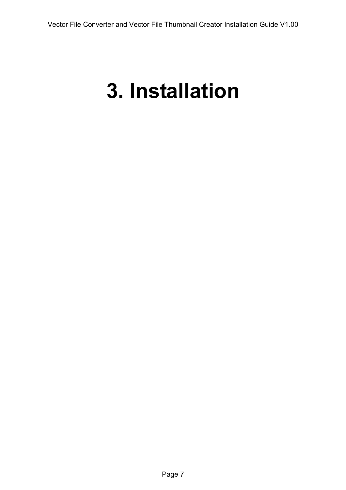# <span id="page-6-0"></span>**3. Installation**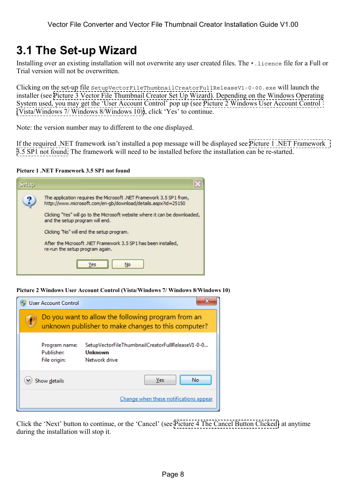## <span id="page-7-0"></span>**3.1 The Set-up Wizard**

Installing over an existing installation will not overwrite any user created files. The  $\star$ , licence file for a Full or Trial version will not be overwritten.

Clicking on the set-up file SetupVectorFileThumbnailCreatorFullReleaseV1-0-00.exe will launch the installer (see [Picture 3 Vector File Thumbnail Creator Set Up Wizard\)](#page-8-0). Depending on the Windows Operating System used, you may get the 'User Account Control' pop up (see Picture 2 Windows User Account Control (Vista/Windows 7/ Windows 8/Windows 10)), click 'Yes' to continue.

Note: the version number may to different to the one displayed.

If the required .NET framework isn't installed a pop message will be displayed see Picture 1 .NET Framework 3.5 SP1 not found. The framework will need to be installed before the installation can be re-started.

#### **Picture 1 .NET Framework 3.5 SP1 not found**



**Picture 2 Windows User Account Control (Vista/Windows 7/ Windows 8/Windows 10)** 

|                           | <b>User Account Control</b>                 |                                                                                                           |
|---------------------------|---------------------------------------------|-----------------------------------------------------------------------------------------------------------|
|                           |                                             | Do you want to allow the following program from an<br>unknown publisher to make changes to this computer? |
|                           | Program name:<br>Publisher:<br>File origin: | SetupVectorFileThumbnailCreatorFullReleaseV1-0-0<br>Unknown<br>Network drive                              |
| No<br>Yes<br>Show details |                                             |                                                                                                           |
|                           |                                             | Change when these notifications appear                                                                    |

Click the 'Next' button to continue, or the 'Cancel' (see [Picture 4 The Cancel Button Clicked\)](#page-8-0) at anytime during the installation will stop it.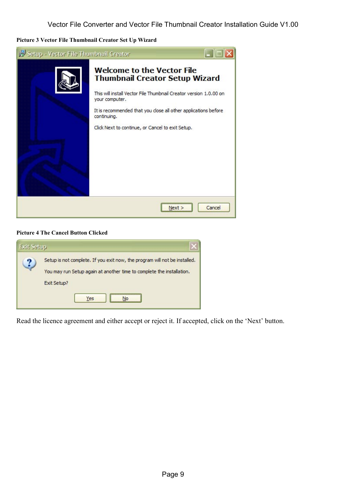<span id="page-8-0"></span>**Picture 3 Vector File Thumbnail Creator Set Up Wizard** 



#### **Picture 4 The Cancel Button Clicked**

| <b>Exit Setup</b> |                                                                                                                                                                           |
|-------------------|---------------------------------------------------------------------------------------------------------------------------------------------------------------------------|
| ?                 | Setup is not complete. If you exit now, the program will not be installed.<br>You may run Setup again at another time to complete the installation.<br>Exit Setup?<br>Yes |

Read the licence agreement and either accept or reject it. If accepted, click on the 'Next' button.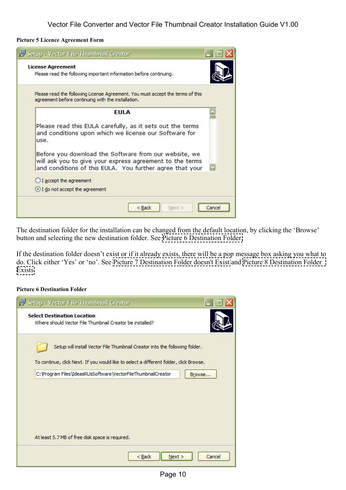#### <span id="page-9-0"></span>**Picture 5 Licence Agreement Form**

| <b>License Agreement</b>                           | Please read the following important information before continuing.                                                                                                            |  |
|----------------------------------------------------|-------------------------------------------------------------------------------------------------------------------------------------------------------------------------------|--|
| agreement before continuing with the installation. | Please read the following License Agreement. You must accept the terms of this                                                                                                |  |
|                                                    | <b>EULA</b>                                                                                                                                                                   |  |
| use.                                               | Please read this EULA carefully, as it sets out the terms<br>and conditions upon which we license our Software for                                                            |  |
|                                                    | Before you download the Software from our website, we<br>will ask you to give your express agreement to the terms<br>and conditions of this EULA. You further agree that your |  |
| $\bigcirc$ I accept the agreement                  |                                                                                                                                                                               |  |
|                                                    | I do not accept the agreement                                                                                                                                                 |  |

The destination folder for the installation can be changed from the default location, by clicking the 'Browse' button and selecting the new destination folder. See Picture 6 Destination Folder.

If the destination folder doesn't exist or if it already exists, there will be a pop message box asking you what to do. Click either 'Yes' or 'no'. See Picture 7 Destination Folder doesn't Exist and [Picture 8 Destination Folder](#page-10-0)  [Exists.](#page-10-0)

#### **Picture 6 Destination Folder**

| Setup - Vector File Thumbnail Creator                                                                                                                                 |  |
|-----------------------------------------------------------------------------------------------------------------------------------------------------------------------|--|
| <b>Select Destination Location</b><br>Where should Vector File Thumbnail Creator be installed?                                                                        |  |
| Setup will install Vector File Thumbnail Creator into the following folder.<br>To continue, click Next. If you would like to select a different folder, click Browse. |  |
| C: \Program Files\IdeasRUsSoftware\VectorFileThumbnailCreator<br>Browse                                                                                               |  |
|                                                                                                                                                                       |  |
| At least 5.7 MB of free disk space is required.                                                                                                                       |  |
| Next ><br>$<$ Back<br>Cancel                                                                                                                                          |  |
|                                                                                                                                                                       |  |

Page 10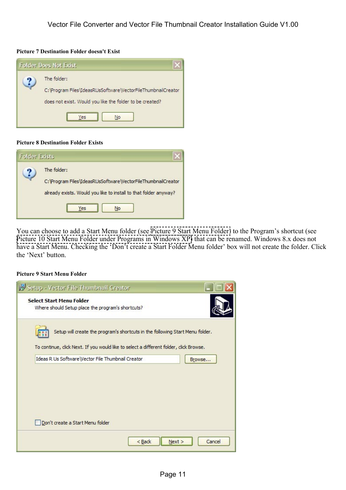#### <span id="page-10-0"></span>**Picture 7 Destination Folder doesn't Exist**



#### **Picture 8 Destination Folder Exists**

| <b>Folder Exists</b> |                                                                                                                                                                      |
|----------------------|----------------------------------------------------------------------------------------------------------------------------------------------------------------------|
|                      | The folder:<br>C: \Program Files\IdeasRUsSoftware\VectorFileThumbnailCreator<br>already exists. Would you like to install to that folder anyway?<br><b>No</b><br>Yes |

You can choose to add a Start Menu folder (see Picture 9 Start Menu Folder) to the Program's shortcut (see Picture 10 Start Menu Folder under Programs in Windows XP) that can be renamed. Windows 8.x does not have a Start Menu. Checking the 'Don't create a Start Folder Menu folder' box will not create the folder. Click the 'Next' button.

#### **Picture 9 Start Menu Folder**

| Setup - Vector File Thumbnail Creator                                                                                                                                   |        |
|-------------------------------------------------------------------------------------------------------------------------------------------------------------------------|--------|
| <b>Select Start Menu Folder</b><br>Where should Setup place the program's shortcuts?                                                                                    |        |
| Setup will create the program's shortcuts in the following Start Menu folder.<br>To continue, click Next. If you would like to select a different folder, click Browse. |        |
| Ideas R Us Software\Vector File Thumbnail Creator                                                                                                                       | Browse |
| Don't create a Start Menu folder                                                                                                                                        |        |
| Next ><br>$<$ Back                                                                                                                                                      | Cancel |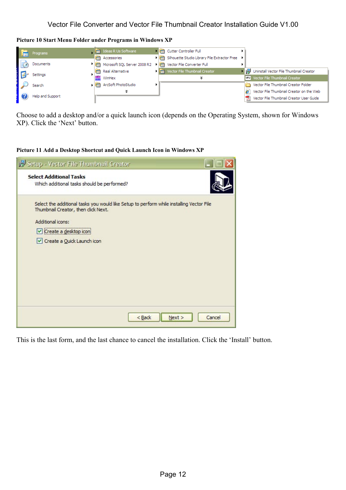<span id="page-11-0"></span>**Picture 10 Start Menu Folder under Programs in Windows XP** 



Choose to add a desktop and/or a quick launch icon (depends on the Operating System, shown for Windows XP). Click the 'Next' button.

**Picture 11 Add a Desktop Shortcut and Quick Launch Icon in Windows XP** 

| 15 Setup - Vector File Thumbnail Creator                                                                                        |        |
|---------------------------------------------------------------------------------------------------------------------------------|--------|
| <b>Select Additional Tasks</b><br>Which additional tasks should be performed?                                                   |        |
| Select the additional tasks you would like Setup to perform while installing Vector File<br>Thumbnail Creator, then click Next. |        |
| Additional icons:                                                                                                               |        |
| Create a desktop icon                                                                                                           |        |
| Create a Quick Launch icon                                                                                                      |        |
|                                                                                                                                 |        |
|                                                                                                                                 |        |
|                                                                                                                                 |        |
|                                                                                                                                 |        |
|                                                                                                                                 |        |
|                                                                                                                                 |        |
| $<$ Back<br>Next >                                                                                                              | Cancel |

This is the last form, and the last chance to cancel the installation. Click the 'Install' button.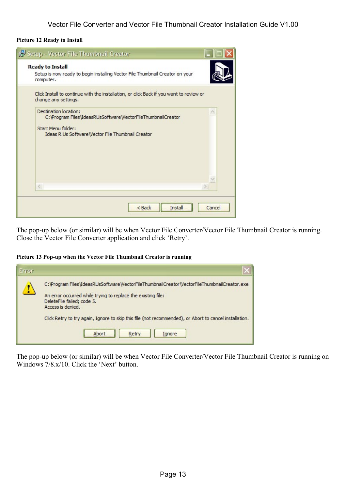#### <span id="page-12-0"></span>**Picture 12 Ready to Install**

| <b>Ready to Install</b><br>computer.                                                               | Setup is now ready to begin installing Vector File Thumbnail Creator on your            |  |
|----------------------------------------------------------------------------------------------------|-----------------------------------------------------------------------------------------|--|
| change any settings.                                                                               | Click Install to continue with the installation, or click Back if you want to review or |  |
| Destination location:<br>Start Menu folder:<br>Ideas R Us Software   Vector File Thumbnail Creator | C: \Program Files\IdeasRUsSoftware\VectorFileThumbnailCreator                           |  |
| €                                                                                                  |                                                                                         |  |
|                                                                                                    |                                                                                         |  |

The pop-up below (or similar) will be when Vector File Converter/Vector File Thumbnail Creator is running. Close the Vector File Converter application and click 'Retry'.

#### **Picture 13 Pop-up when the Vector File Thumbnail Creator is running**

| <b>Error</b> |                                                                                                                                                                                                                                                                                                                                                       |
|--------------|-------------------------------------------------------------------------------------------------------------------------------------------------------------------------------------------------------------------------------------------------------------------------------------------------------------------------------------------------------|
| Ţ            | C: \Program Files\IdeasRUsSoftware\VectorFileThumbnailCreator\VectorFileThumbnailCreator.exe<br>An error occurred while trying to replace the existing file:<br>DeleteFile failed; code 5.<br>Access is denied.<br>Click Retry to try again, Ignore to skip this file (not recommended), or Abort to cancel installation.<br>Retry<br>Ignore<br>Abort |

The pop-up below (or similar) will be when Vector File Converter/Vector File Thumbnail Creator is running on Windows 7/8.x/10. Click the 'Next' button.